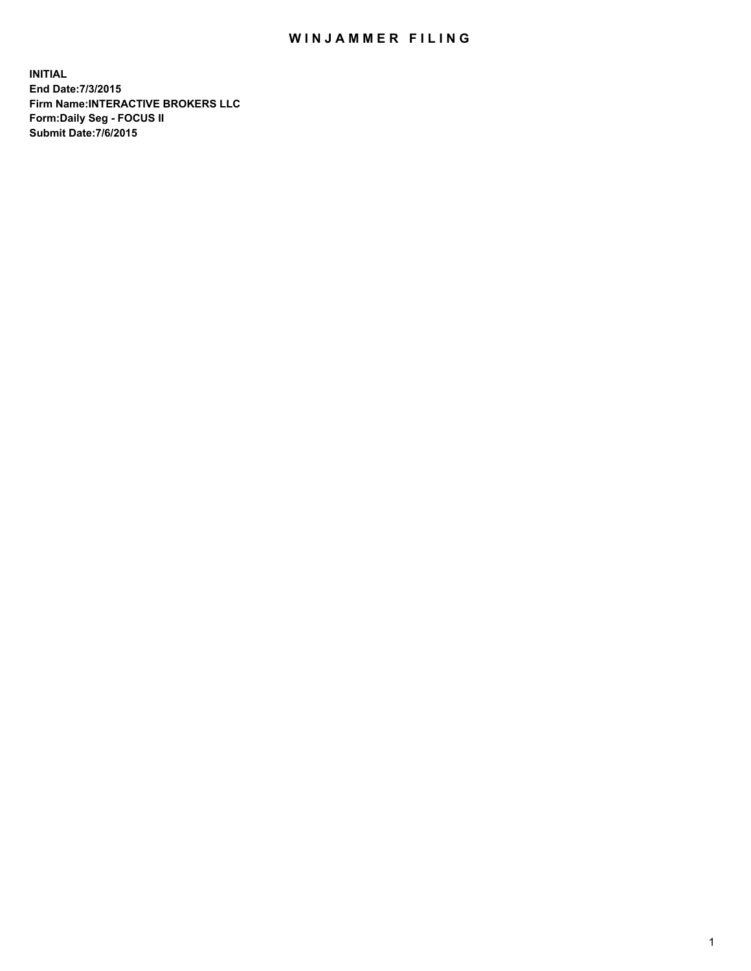## WIN JAMMER FILING

**INITIAL End Date:7/3/2015 Firm Name:INTERACTIVE BROKERS LLC Form:Daily Seg - FOCUS II Submit Date:7/6/2015**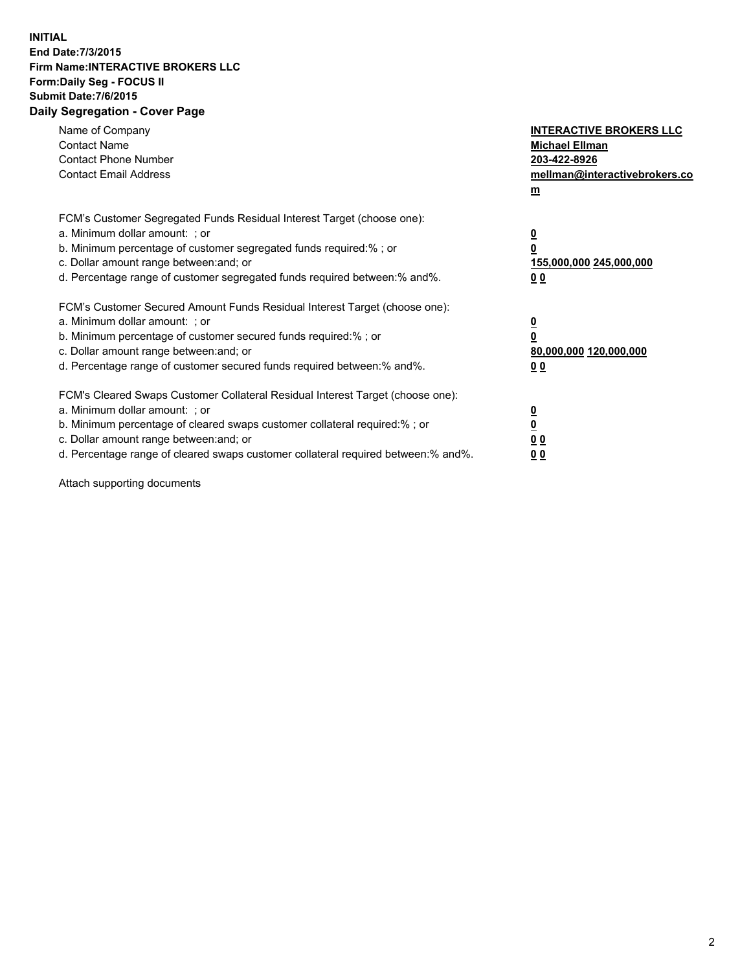## **INITIAL End Date:7/3/2015 Firm Name:INTERACTIVE BROKERS LLC Form:Daily Seg - FOCUS II Submit Date:7/6/2015 Daily Segregation - Cover Page**

| Name of Company<br><b>Contact Name</b><br><b>Contact Phone Number</b><br><b>Contact Email Address</b>                                                                                                                                                                                                                          | <b>INTERACTIVE BROKERS LLC</b><br><b>Michael Ellman</b><br>203-422-8926<br>mellman@interactivebrokers.co<br>$\mathbf{m}$ |
|--------------------------------------------------------------------------------------------------------------------------------------------------------------------------------------------------------------------------------------------------------------------------------------------------------------------------------|--------------------------------------------------------------------------------------------------------------------------|
| FCM's Customer Segregated Funds Residual Interest Target (choose one):<br>a. Minimum dollar amount: ; or<br>b. Minimum percentage of customer segregated funds required:% ; or<br>c. Dollar amount range between: and; or<br>d. Percentage range of customer segregated funds required between:% and%.                         | $\overline{\mathbf{0}}$<br>0<br>155,000,000 245,000,000<br>00                                                            |
| FCM's Customer Secured Amount Funds Residual Interest Target (choose one):<br>a. Minimum dollar amount: ; or<br>b. Minimum percentage of customer secured funds required:%; or<br>c. Dollar amount range between: and; or<br>d. Percentage range of customer secured funds required between:% and%.                            | $\overline{\mathbf{0}}$<br>$\mathbf{0}$<br>80,000,000 120,000,000<br>00                                                  |
| FCM's Cleared Swaps Customer Collateral Residual Interest Target (choose one):<br>a. Minimum dollar amount: ; or<br>b. Minimum percentage of cleared swaps customer collateral required:% ; or<br>c. Dollar amount range between: and; or<br>d. Percentage range of cleared swaps customer collateral required between:% and%. | $\overline{\mathbf{0}}$<br>$\overline{\mathbf{0}}$<br>0 <sub>0</sub><br>0 <sub>0</sub>                                   |

Attach supporting documents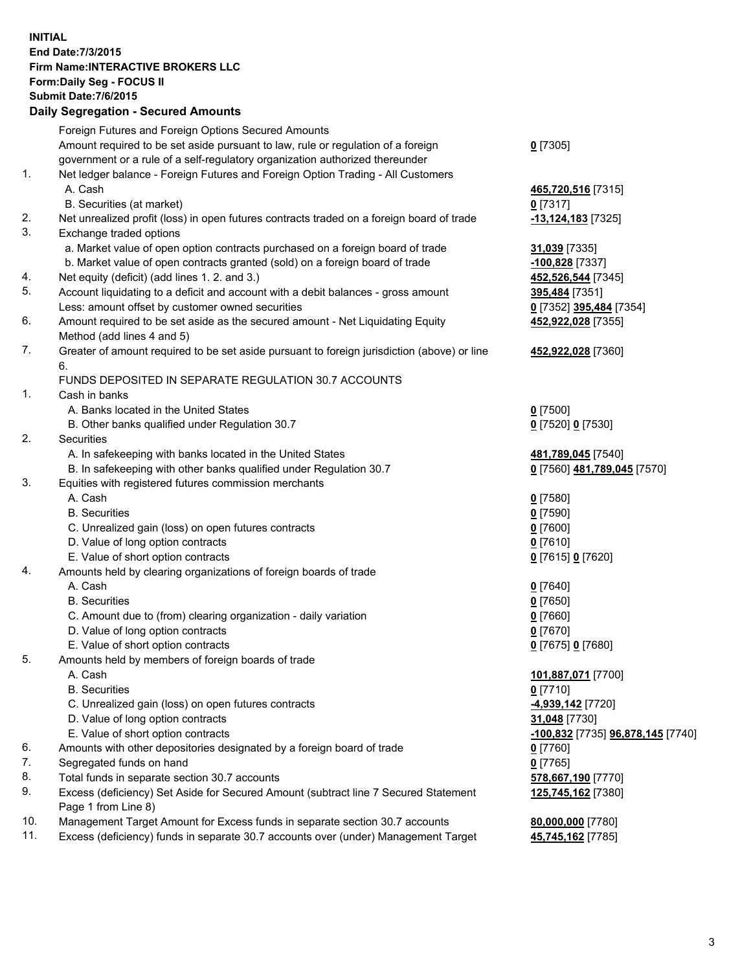## **INITIAL End Date:7/3/2015 Firm Name:INTERACTIVE BROKERS LLC Form:Daily Seg - FOCUS II Submit Date:7/6/2015 Daily Segregation - Secured Amounts**

| Foreign Futures and Foreign Options Secured Amounts                                         |                                                                                    |
|---------------------------------------------------------------------------------------------|------------------------------------------------------------------------------------|
|                                                                                             |                                                                                    |
| Amount required to be set aside pursuant to law, rule or regulation of a foreign            | $0$ [7305]                                                                         |
| government or a rule of a self-regulatory organization authorized thereunder                |                                                                                    |
| Net ledger balance - Foreign Futures and Foreign Option Trading - All Customers             |                                                                                    |
| A. Cash                                                                                     | 465,720,516 [7315]                                                                 |
| B. Securities (at market)                                                                   | $0$ [7317]                                                                         |
| Net unrealized profit (loss) in open futures contracts traded on a foreign board of trade   | $-13,124,183$ [7325]                                                               |
| Exchange traded options                                                                     |                                                                                    |
| a. Market value of open option contracts purchased on a foreign board of trade              | 31,039 [7335]                                                                      |
| b. Market value of open contracts granted (sold) on a foreign board of trade                | 100,828 [7337]                                                                     |
| Net equity (deficit) (add lines 1.2. and 3.)                                                | 452,526,544 [7345]                                                                 |
| Account liquidating to a deficit and account with a debit balances - gross amount           | <u>395,484</u> [7351]                                                              |
| Less: amount offset by customer owned securities                                            | 0 [7352] 395,484 [7354]                                                            |
| Amount required to be set aside as the secured amount - Net Liquidating Equity              | 452,922,028 [7355]                                                                 |
| Method (add lines 4 and 5)                                                                  |                                                                                    |
| Greater of amount required to be set aside pursuant to foreign jurisdiction (above) or line | 452,922,028 [7360]                                                                 |
| 6.                                                                                          |                                                                                    |
| FUNDS DEPOSITED IN SEPARATE REGULATION 30.7 ACCOUNTS                                        |                                                                                    |
| Cash in banks                                                                               |                                                                                    |
| A. Banks located in the United States                                                       | $0$ [7500]                                                                         |
| B. Other banks qualified under Regulation 30.7                                              | 0 [7520] 0 [7530]                                                                  |
| Securities                                                                                  |                                                                                    |
| A. In safekeeping with banks located in the United States                                   | 481,789,045 [7540]                                                                 |
| B. In safekeeping with other banks qualified under Regulation 30.7                          | 0 [7560] 481,789,045 [7570]                                                        |
| Equities with registered futures commission merchants                                       |                                                                                    |
| A. Cash                                                                                     | $0$ [7580]                                                                         |
| <b>B.</b> Securities                                                                        | $0$ [7590]                                                                         |
| C. Unrealized gain (loss) on open futures contracts                                         | $0$ [7600]                                                                         |
| D. Value of long option contracts                                                           | $0$ [7610]                                                                         |
| E. Value of short option contracts                                                          | 0 [7615] 0 [7620]                                                                  |
| Amounts held by clearing organizations of foreign boards of trade                           |                                                                                    |
| A. Cash                                                                                     | $0$ [7640]                                                                         |
| <b>B.</b> Securities                                                                        | $0$ [7650]                                                                         |
| C. Amount due to (from) clearing organization - daily variation                             | $0$ [7660]                                                                         |
| D. Value of long option contracts                                                           | $0$ [7670]                                                                         |
| E. Value of short option contracts                                                          | 0 [7675] 0 [7680]                                                                  |
| Amounts held by members of foreign boards of trade                                          |                                                                                    |
| A. Cash                                                                                     | 101,887,071 [7700]                                                                 |
| <b>B.</b> Securities                                                                        | $0$ [7710]                                                                         |
| C. Unrealized gain (loss) on open futures contracts                                         | -4,939,142 <sup>[7720]</sup>                                                       |
| D. Value of long option contracts                                                           | 31,048 [7730]                                                                      |
| E. Value of short option contracts                                                          | -100,832 [7735] 96,878,145 [7740]                                                  |
| Amounts with other depositories designated by a foreign board of trade                      | 0 [7760]                                                                           |
| Segregated funds on hand                                                                    | $0$ [7765]                                                                         |
| Total funds in separate section 30.7 accounts                                               | 578,667,190 [7770]                                                                 |
| Excess (deficiency) Set Aside for Secured Amount (subtract line 7 Secured Statement         | 125,745,162 <sup>[7380]</sup>                                                      |
| Page 1 from Line 8)                                                                         |                                                                                    |
| Management Target Amount for Excess funds in separate section 30.7 accounts                 | 80,000,000 [7780]                                                                  |
|                                                                                             | 45,745,162 [7785]                                                                  |
|                                                                                             | Excess (deficiency) funds in separate 30.7 accounts over (under) Management Target |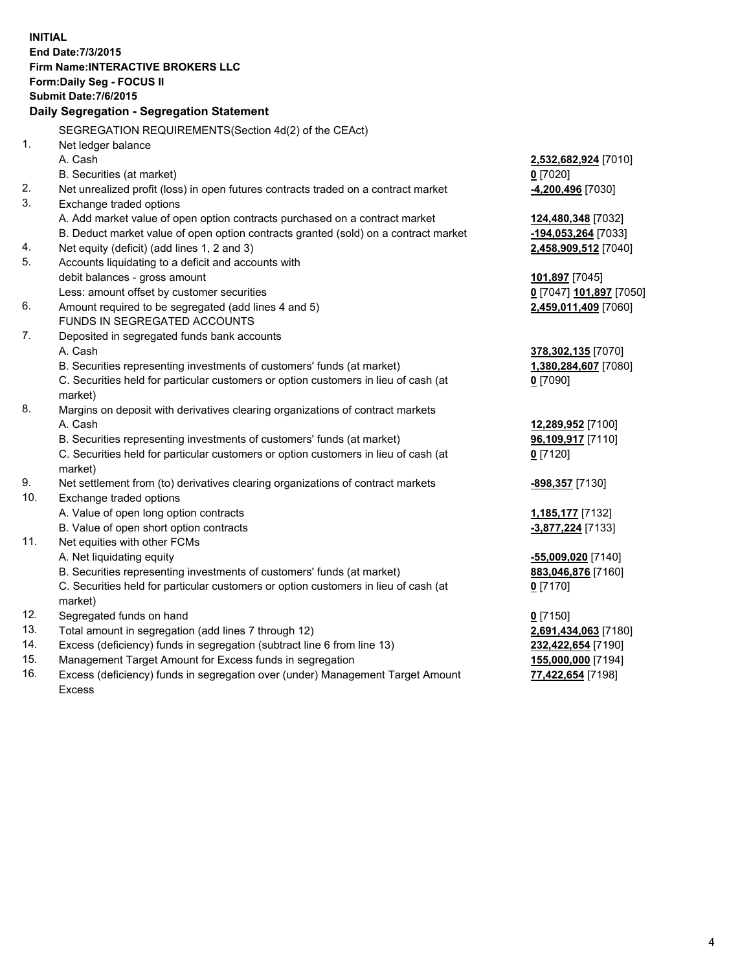**INITIAL End Date:7/3/2015 Firm Name:INTERACTIVE BROKERS LLC Form:Daily Seg - FOCUS II Submit Date:7/6/2015 Daily Segregation - Segregation Statement** SEGREGATION REQUIREMENTS(Section 4d(2) of the CEAct) 1. Net ledger balance A. Cash **2,532,682,924** [7010] B. Securities (at market) **0** [7020] 2. Net unrealized profit (loss) in open futures contracts traded on a contract market **-4,200,496** [7030] 3. Exchange traded options A. Add market value of open option contracts purchased on a contract market **124,480,348** [7032] B. Deduct market value of open option contracts granted (sold) on a contract market **-194,053,264** [7033] 4. Net equity (deficit) (add lines 1, 2 and 3) **2,458,909,512** [7040] 5. Accounts liquidating to a deficit and accounts with debit balances - gross amount **101,897** [7045] Less: amount offset by customer securities **0** [7047] **101,897** [7050] 6. Amount required to be segregated (add lines 4 and 5) **2,459,011,409** [7060] FUNDS IN SEGREGATED ACCOUNTS 7. Deposited in segregated funds bank accounts A. Cash **378,302,135** [7070] B. Securities representing investments of customers' funds (at market) **1,380,284,607** [7080] C. Securities held for particular customers or option customers in lieu of cash (at market) **0** [7090] 8. Margins on deposit with derivatives clearing organizations of contract markets A. Cash **12,289,952** [7100] B. Securities representing investments of customers' funds (at market) **96,109,917** [7110] C. Securities held for particular customers or option customers in lieu of cash (at market) **0** [7120] 9. Net settlement from (to) derivatives clearing organizations of contract markets **-898,357** [7130] 10. Exchange traded options A. Value of open long option contracts **1,185,177** [7132] B. Value of open short option contracts **-3,877,224** [7133] 11. Net equities with other FCMs A. Net liquidating equity **-55,009,020** [7140] B. Securities representing investments of customers' funds (at market) **883,046,876** [7160] C. Securities held for particular customers or option customers in lieu of cash (at market) **0** [7170] 12. Segregated funds on hand **0** [7150] 13. Total amount in segregation (add lines 7 through 12) **2,691,434,063** [7180] 14. Excess (deficiency) funds in segregation (subtract line 6 from line 13) **232,422,654** [7190] 15. Management Target Amount for Excess funds in segregation **155,000,000** [7194]

16. Excess (deficiency) funds in segregation over (under) Management Target Amount Excess

**77,422,654** [7198]